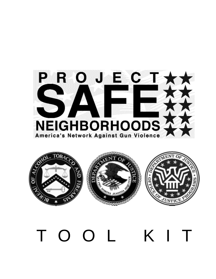



## TOOL KIT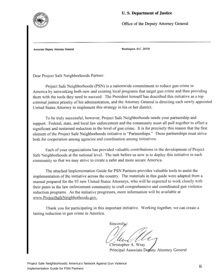

### **U.S. Department of Justice**

Office of the Deputy Attorney General

Associate Deputy Attorney General

Washington, D.C. 20530

Dear Project Safe Neighborhoods Partner:

Project Safe Neighborhoods (PSN) is a nationwide commitment to reduce gun crime in America by networking both new and existing local programs that target gun crime and then providing them with the tools they need to succeed. The President himself has described this initiative as a top criminal justice priority of his administration, and the Attorney General is directing each newly appointed United States Attorney to implement this strategy in his or her district.

To be truly successful, however, Project Safe Neighborhoods needs your partnership and support. Federal, state, and local law enforcement and the community must all pull together to effect a significant and sustained reduction in the level of gun crime. It is for precisely this reason that the first element of the Project Safe Neighborhoods initiative is "Partnerships." These partnerships must strive both for cooperation among agencies and coordination among initiatives.

Each of your organizations has provided valuable contributions in the development of Project Safe Neighborhoods at the national level. The task before us now is to deploy this initiative in each community so that we may strive to create a safer and more secure America.

The attached Implementation Guide for PSN Partners provides valuable tools to assist the implementation of the initiative across the country. The materials in this guide were adapted from a manual prepared for the 93 new United States Attorneys, who will be expected to work closely with their peers in the law enforcement community to craft comprehensive and coordinated gun violence reduction programs. As the initiative progresses, more information will be available at www.ProjectSafeNeighborhoods.gov.

Thank you for participating in this important initiative. Working together, we can create a lasting reduction in gun crime in America.

Sincerely

Christopher A. Wray

Principal Associate Deputy Attorney General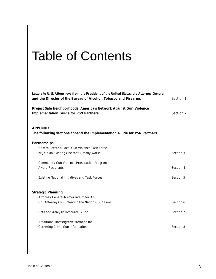## Table of Contents

| Letters to U.S. Attourneys from the President of the United States, the Attorney General<br>and the Director of the Bureau of Alcohol, Tobacco and Firearms | Section 1 |
|-------------------------------------------------------------------------------------------------------------------------------------------------------------|-----------|
| Project Safe Neighborhoods: America's Network Against Gun Violence                                                                                          |           |
| <b>Implementation Guide for PSN Partners</b>                                                                                                                | Section 2 |
| <b>APPENDIX</b>                                                                                                                                             |           |
| The following sections append the Implementation Guide for PSN Partners                                                                                     |           |
| <b>Partnerships</b>                                                                                                                                         |           |
| How to Create a Local Gun Violence Task Force                                                                                                               |           |
| or Join an Existing One that Already Works                                                                                                                  | Section 3 |
| <b>Community Gun Violence Prosecution Program</b>                                                                                                           |           |
| <b>Award Recipients</b>                                                                                                                                     | Section 4 |
| <b>Existing National Initiatives and Task Forces</b>                                                                                                        | Section 5 |
| <b>Strategic Planning</b>                                                                                                                                   |           |
| <b>Attorney General Memorandum for All</b>                                                                                                                  |           |
| U.S. Attorneys on Enforcing the Nation's Gun Laws                                                                                                           | Section 6 |
| Data and Analysis Resource Guide                                                                                                                            | Section 7 |
| <b>Traditional Investigative Methods for</b>                                                                                                                |           |
| <b>Gathering Crime Gun Information</b>                                                                                                                      | Section 8 |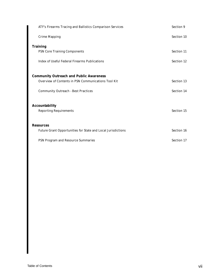| ATF's Firearms Tracing and Ballistics Comparison Services           | Section 9  |
|---------------------------------------------------------------------|------------|
| <b>Crime Mapping</b>                                                | Section 10 |
| <b>Training</b>                                                     |            |
| <b>PSN Core Training Components</b>                                 | Section 11 |
| <b>Index of Useful Federal Firearms Publications</b>                | Section 12 |
| <b>Community Outreach and Public Awareness</b>                      |            |
| Overview of Contents in PSN Communications Tool Kit                 | Section 13 |
| <b>Community Outreach - Best Practices</b>                          | Section 14 |
| <b>Accountability</b>                                               |            |
| <b>Reporting Requirements</b>                                       | Section 15 |
| <b>Resources</b>                                                    |            |
| <b>Future Grant Opportunities for State and Local Jurisdictions</b> | Section 16 |
| PSN Program and Resource Summaries                                  | Section 17 |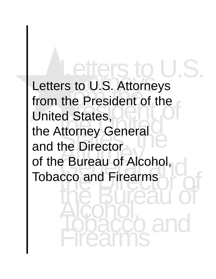Letters to U.S. Attorneys<br>from the President of the<br>United States,<br>the Attorney General<br>and the Director<br>of the Bureau of Alcohol,<br>Tobacco and Firearms<br>ALCOHOL, TobaCCO and<br>FIREARMS Letters to U.S. Attorneys from the President of the United States, the Attorney General and the Director of the Bureau of Alcohol, Tobacco and Firearms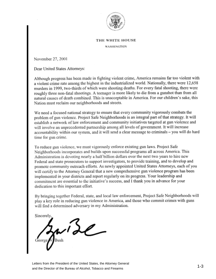

#### THE WHITE HOUSE

WASHINGTON

November 27, 2001

Dear United States Attorneys:

Although progress has been made in fighting violent crime, America remains far too violent with a violent crime rate among the highest in the industrialized world. Nationally, there were 12,658 murders in 1999, two-thirds of which were shooting deaths. For every fatal shooting, there were roughly three non-fatal shootings. A teenager is more likely to die from a gunshot than from all natural causes of death combined. This is unacceptable in America. For our children's sake, this Nation must reclaim our neighborhoods and streets.

We need a focused national strategy to ensure that every community vigorously combats the problem of gun violence. Project Safe Neighborhoods is an integral part of that strategy. It will establish a network of law enforcement and community initiatives targeted at gun violence and will involve an unprecedented partnership among all levels of government. It will increase accountability within our system, and it will send a clear message to criminals - you will do hard time for gun crime.

To reduce gun violence, we must vigorously enforce existing gun laws. Project Safe Neighborhoods incorporates and builds upon successful programs all across America. This Administration is devoting nearly a half billion dollars over the next two years to hire new Federal and state prosecutors to support investigators, to provide training, and to develop and promote community outreach efforts. As newly appointed United States Attorneys, each of you will certify to the Attorney General that a new comprehensive gun violence program has been implemented in your districts and report regularly on its progress. Your leadership and commitment are essential to the initiative's success, and I thank you in advance for your dedication to this important effort.

By bringing together Federal, state, and local law enforcement, Project Safe Neighborhoods will play a key role in reducing gun violence in America, and those who commit crimes with guns will find a determined adversary in my Administration.

Sincerely

George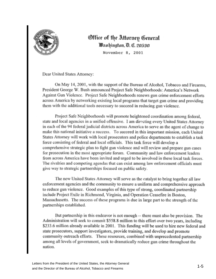

### Office of the Attorney General Washington, D. C. 20530

November 8, 2001

Dear United States Attorney:

On May 14, 2001, with the support of the Bureau of Alcohol, Tobacco and Firearms, President George W. Bush announced Project Safe Neighborhoods: America's Network Against Gun Violence. Project Safe Neighborhoods renews gun crime enforcement efforts across America by networking existing local programs that target gun crime and providing them with the additional tools necessary to succeed in reducing gun violence.

Project Safe Neighborhoods will promote heightened coordination among federal, state and local agencies in a unified offensive. I am directing every United States Attorney in each of the 94 federal judicial districts across America to serve as the agent of change to make this national initiative a success. To succeed in this important mission, each United States Attorney will work with local prosecutors and police departments to establish a task force consisting of federal and local officials. This task force will develop a comprehensive strategic plan to fight gun violence and will review and prepare gun cases for prosecution in the most appropriate forum. Community and law enforcement leaders from across America have been invited and urged to be involved in these local task forces. The rivalries and competing agendas that can exist among law enforcement officials must give way to strategic partnerships focused on public safety.

The new United States Attorney will serve as the catalyst to bring together all law enforcement agencies and the community to ensure a uniform and comprehensive approach to reduce gun violence. Good examples of this type of strong, coordinated partnership include Project Exile in Richmond, Virginia, and Operation Ceasefire in Boston, Massachusetts. The success of these programs is due in large part to the strength of the partnerships established.

But partnership in this endeavor is not enough -- there must also be provision. The Administration will seek to commit \$558.8 million to this effort over two years, including \$233.6 million already available in 2001. This funding will be used to hire new federal and state prosecutors, support investigators, provide training, and develop and promote community outreach efforts. These resources, combined with unprecedented partnership among all levels of government, seek to dramatically reduce gun crime throughout the nation.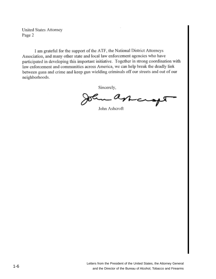**United States Attorney** Page 2

I am grateful for the support of the ATF, the National District Attorneys Association, and many other state and local law enforcement agencies who have participated in developing this important initiative. Together in strong coordination with law enforcement and communities across America, we can help break the deadly link between guns and crime and keep gun wielding criminals off our streets and out of our neighborhoods.

Sincerely,

John Ashcroft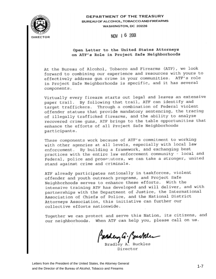

### DEPARTMENT OF THE TREASURY BUREAU OF ALCOHOL, TOBACCO AND FIREARMS WASHINGTON, DC 20226

NOV 1 6 200

### Open Letter to the United States Attorneys on ATF's Role in Project Safe Neighborhoods

At the Bureau of Alcohol, Tobacco and Firearms (ATF), we look forward to combining our experience and resources with yours to effectively address gun crime in your communities. ATF's role in Project Safe Neighborhoods is specific, and it has several components.

Virtually every firearm starts out legal and leaves an extensive paper trail. By following that trail, ATF can identify and target traffickers. Through a combination of Federal violent offender statues that provide mandatory sentencing, the tracing of illegally trafficked firearms, and the ability to analyze recovered crime guns, ATF brings to the table opportunities that enhance the efforts of all Project Safe Neighborhoods participants.

These components work because of ATF's commitment to working with other agencies at all levels, especially with local law enforcement. By building a framework, and exchanging best practices with the entire law enforcement community - local and Federal, police and prosetutors, we can take a stronger, united stand against crime and criminals.

ATF already participates nationally in taskforces, violent offender and youth outreach programs, and Project Safe Neighborhoods serves to enhance these efforts. With the intensive training ATF has developed and will deliver, and with partnerships with the Department of Justice, the International Association of Chiefs of Police, and the National District Attorneys Association, this initiative can further our collective efforts nationwide.

Together we can protect and serve this Nation, its citizens, and our neighborhoods. When ATF can help you, please call on us.

ander G. Suckles

Director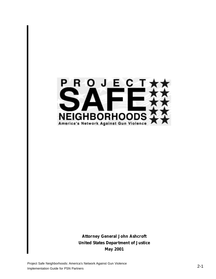

**Attorney General John Ashcroft United States Department of Justice May 2001**

Project Safe Neighborhoods: America's Network Against Gun Violence Implementation Guide for PSN Partners Thermore Against Guilt Violence<br>Implementation Guide for PSN Partners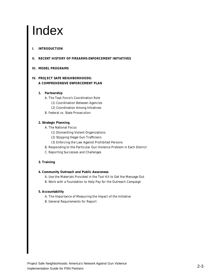### Index

### **I. INTRODUCTION**

#### **II. RECENT HISTORY OF FIREARMS ENFORCEMENT INITIATIVES**

### **III. MODEL PROGRAMS**

### **IV. PROJECT SAFE NEIGHBORHOODS: A COMPREHENSIVE ENFORCEMENT PLAN**

#### **1. Partnership**

A. The Task Force's Coordination Role

- (1) Coordination Between Agencies
- (2) Coordination Among Initiatives
- B. Federal vs. State Prosecution

### **2. Strategic Planning**

- A. The National Focus
	- (1) Dismantling Violent Organizations
	- (2) Stopping Illegal Gun Traffickers
	- (3) Enforcing the Law Against Prohibited Persons
- B. Responding to the Particular Gun Violence Problem in Each District
- C. Reporting Successes and Challenges

### **3. Training**

#### **4. Community Outreach and Public Awareness**

A. Use the Materials Provided in the Tool Kit to Get the Message Out

B. Work with a Foundation to Help Pay for the Outreach Campaign

### **5. Accountability**

- A. The Importance of Measuring the Impact of the Initiative
- B. General Requirements for Report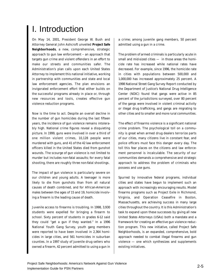### I. Introduction

On May 14, 2001, President George W. Bush and Attorney General John Ashcroft unveiled **Project Safe Neighborhoods**, a new, comprehensive, strategic approach to gun law enforcement – an approach that targets gun crime and violent offenders in an effort to make our streets and communities safer. The Administration's plan calls upon each United States Attorney to implement this national initiative, working in partnership with communities and state and local law enforcement agencies. The plan envisions an invigorated enforcement effort that either builds on the successful programs already in place or, through new resources and tools, creates effective gun violence reduction programs.

Now is the time to act. Despite an overall decline in the number of gun homicides during the last fifteen years, the incidence of gun violence remains intolerably high. National crime figures reveal a disquieting picture. In 1999, guns were involved in over a third of one million violent crimes, 10,128 people were murdered with guns, and 41 of the 42 law enforcement officers killed in the United States died from gunshot wounds. The scourge of gun violence is not limited to murder but includes non-fatal assaults; for every fatal shooting, there are roughly three non-fatal shootings.

The impact of gun violence is particularly severe on our children and young adults. A teenager is more likely to die from gunshots than from all natural causes of death combined, and for African-American males between the ages of 15 and 19, homicide involving a firearm is the leading cause of death.

Juvenile access to firearms is troubling. In 1998, 3,930 students were expelled for bringing a firearm to school. Sixty percent of students in grades 6-12 said they could "get a gun if they wanted." In a 1996 National Youth Gang Survey, youth gang members were reported to have been involved in 2,364 homicides in large cities, and 561 homicides in suburban counties. In a 1997 study of juvenile drug sellers who owned a firearm, 42 percent admitted to using a gun in a crime; among juvenile gang members, 50 percent admitted using a gun in a crime.

The problem of armed criminals is particularly acute in small and mid-sized cities — in those areas the homicide rate has increased while national rates have decreased. For example, since 1996, the homicide rate in cities with populations between 500,000 and 1,000,000 has increased approximately 25 percent. A 1998 National Street Gang Survey Report conducted by the Department of Justice's National Drug Intelligence Center (NDIC) found that gangs were active in 85 percent of the jurisdictions surveyed, over 80 percent of the gangs were involved in violent criminal activity or illegal drug trafficking, and gangs are migrating to other cities and to smaller and more rural communities.

The effect of firearms violence is a significant national crime problem. The psychological toll on a community is great when armed drug dealers terrorize parts of our cities, many citizens live in constant fear, and police officers must face this danger every day. The toll this fear places on the citizens and law enforcement personnel is incalculable. The security of our communities demands a comprehensive and strategic approach to address the problem of criminals who possess and use guns.

Spurred by innovative federal programs, individual cities and states have begun to implement such an approach with increasingly encouraging results. Model firearms programs such as Project Exile in Richmond, Virginia, and Operation Ceasefire in Boston, Massachusetts, are achieving success in many large cities throughout the country. It is this Administration's task to expand upon these successes by giving all new United States Attorneys (USAs) both a mandate and a framework for creating an effective gun violence reduction program. This new initiative, called Project Safe Neighborhoods, is an expanded, comprehensive, bold approach needed to combat illegal firearms and gun violence — one which synthesizes and supplements existing initiatives.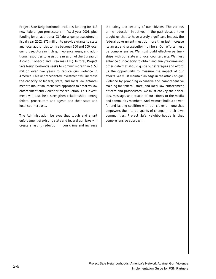Project Safe Neighborhoods includes funding for 113 new federal gun prosecutors in fiscal year 2001, plus funding for an additional 93 federal gun prosecutors in fiscal year 2002, \$75 million to provide grants to state and local authorities to hire between 300 and 500 local gun prosecutors in high gun violence areas, and additional resources to assist the mission of the Bureau of Alcohol, Tobacco and Firearms (ATF). In total, Project Safe Neigh-borhoods seeks to commit more than \$558 million over two years to reduce gun violence in America. This unprecedented investment will increase the capacity of federal, state, and local law enforcement to mount an intensified approach to firearms law enforcement and violent crime reduction. This investment will also help strengthen relationships among federal prosecutors and agents and their state and local counterparts.

The Administration believes that tough and smart enforcement of existing state and federal gun laws will create a lasting reduction in gun crime and increase

the safety and security of our citizens. The various crime reduction initiatives in the past decade have taught us that to have a truly significant impact, the federal government must do more than just increase its arrest and prosecution numbers. Our efforts must be comprehensive. We must build effective partnerships with our state and local counterparts. We must enhance our capacity to obtain and analyze crime and other data that should guide our strategies and afford us the opportunity to measure the impact of our efforts. We must maintain an edge in the attack on gun violence by providing expansive and comprehensive training for federal, state, and local law enforcement officers and prosecutors. We must convey the priorities, message, and results of our efforts to the media and community members. And we must build a powerful and lasting coalition with our citizens – one that empowers them to be agents of change in their own communities. Project Safe Neighborhoods is that comprehensive approach.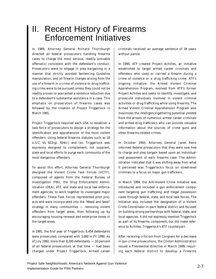In 1989, Attorney General Richard Thornburgh directed all federal prosecutors handling firearms cases to charge the most serious, readily provable offense(s) consistent with the defendant's conduct. Prosecutors were to engage in plea bargaining in a manner that strictly avoided Sentencing Guideline manipulation, and all firearm charges arising from the use of a firearm in a crime of violence or drug trafficking crime were to be pursued unless they could not be readily proven or warranted a sentence reduction due to a defendant's substantial assistance in a case. This emphasis on prosecution of firearms cases was followed by the creation of Project Triggerlock in March 1991.

Project Triggerlock required each USA to establish a task force of prosecutors to design a strategy for the identification and apprehension of the most violent offenders. Using federal firearms statutes such as 18 U.S.C. §§ 922(g), 924(c) and (e), Triggerlock was expressly designed to complement, not supplant, state and local efforts to purge each community of the most dangerous offenders.

To assist this effort, Attorney General Thornburgh designed the Violent Crime Task Forces (VCTF), composed of agents from the Federal Bureau of Investigation (FBI), the Drug Enforcement Administration (DEA), ATF, and state and local law enforcement agencies, to work together to investigate major offenders. These Task Forces represented pilot projects and were incorporated into the "Weed and Seed" strategy in many communities — removing violent offenders from target areas, then following up by encouraging housing renewal and enterprise zones in the target areas.

In 1991, the first year of Triggerlock, 6,454 defendants were prosecuted, compared with 3,060 in FY 1990. As of July 1992, more than 8,200 defendants — 10 percent of all federal prosecutions at that time — had been charged under Project Triggerlock. Armed career criminals received an average sentence of 18 years without parole.

In 1990, ATF created Project Achilles, an initiative established to target armed career criminals and offenders who used or carried a firearm during a crime of violence or a drug trafficking crime. ATF's ongoing initiative, the Armed Violent Criminal Apprehension Program, evolved from ATF's former Project Achilles and seeks to identify, investigate, and prosecute individuals involved in violent criminal activities or drug trafficking while using firearms. The Armed Violent Criminal Apprehension Program also maximizes the intelligence-gathering potential yielded from the arrests of numerous armed career criminals and armed drug traffickers who can provide valuable information about the sources of crime guns and other firearms-related crimes.

In October 1993, Attorney General Janet Reno informed federal prosecutors that they were now free to charge and plea bargain based upon an individualized assessment of each firearms case. The Administration indicated that it was shifting away from what it perceived was Triggerlock's focus on street-level criminals to a focus on major gun traffickers.

In March 1994, the Anti-Violent Crime Initiative was introduced and included a gun enforcement component targeting gun trafficking and illegal possession cases through federal, state, and local task forces. The Initiative also included the designation of a Violent Crime Coordinator in each federal district and focused on building strong partnerships with federal, state, and local agencies. It did not expressly mention Triggerlock as part of its firearms component, but did make reference to Achilles, Triggerlock's ATF counterpart.

After receiving criticism from Congress for a decrease in gun crime prosecutions, the Clinton Administration issued a Presidential directive in March 1999, requiring each federal district to develop a Firearms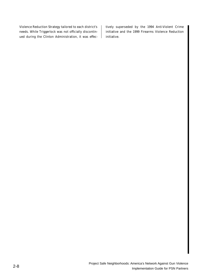Violence Reduction Strategy tailored to each district's needs. While Triggerlock was not officially discontinued during the Clinton Administration, it was effec-

 $\overline{\phantom{a}}$ 

tively superseded by the 1994 Anti-Violent Crime initiative and the 1999 Firearms Violence Reduction initiative.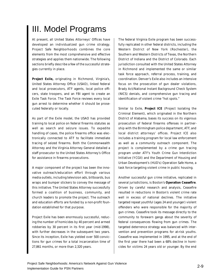### III. Model Programs

At present, all United States Attorneys' Offices have developed an individualized gun crime strategy. Project Safe Neighborhoods combines the core elements from the most comprehensive and effective strategies and applies them nationwide. The following sections briefly describe a few of the successful strategies currently in place.

**Project Exile,** originating in Richmond, Virginia's, United States Attorney Office (USAO), linked federal and local prosecutors, ATF agents, local police officers, state troopers, and an FBI agent to create an Exile Task Force. The Task Force reviews every local gun arrest to determine whether it should be prosecuted federally or locally.

As part of the Exile model, the USAO has provided training to local police on federal firearms statutes as well as search and seizure issues. To expedite handling of cases, the police firearms office was electronically connected to ATF to facilitate immediate tracing of seized firearms. Both the Commonwealth Attorney and the Virginia Attorney General detailed a staff prosecutor to the United States Attorney's Office for assistance in firearms prosecutions.

A major component of the project has been the innovative outreach/education effort through various media outlets, including television ads, billboards, bus wraps and bumper stickers to convey the message of this initiative. The United States Attorney successfully formed a coalition of business, community, and church leaders to promote the project. The outreach and education efforts are funded by a non-profit foundation established for that purpose.

Project Exile has been enormously successful, reducing the number of homicides by 40 percent and armed robberies by 30 percent in its first year (mid-1998), with further decreases in the subsequent two years. Since its inception, Exile has yielded over 500 convictions for gun crimes for a total incarceration time of 27,861 months, or more than 2,320 years.

The federal Virginia Exile program has been successfully replicated in other federal districts, including the Western District of New York (Rochester), the Southern and Western Districts of Texas, the Northern District of Indiana and the District of Colorado. Each jurisdiction consulted with the United States Attorney in Richmond and implemented the same or similar task force approach, referral process, training, and coordination. Denver's Exile also includes an intensive focus on the prosecution of gun dealer violations, Brady Act/National Instant Background Check System (NICS) denials, and comprehensive gun tracing and identification of violent crime "hot spots."

Similar to Exile, **Project ICE** (Project Isolating the Criminal Element), which originated in the Northern District of Alabama, bases its success on its vigorous prosecution of federal firearms offenses in partnership with the Birmingham police department, ATF, and local district attorneys' offices. Project ICE also includes a training program for local law enforcement as well as a community outreach component. The project is complemented by a crime gun tracing program under ATF's Youth Crime Gun Interdiction Initiative (YCGII) and the Department of Housing and Urban Development's (HUD's) Operation Safe Home, a task force targeting violent crime in public housing.

Another successful gun crime initiative, replicated in several jurisdictions, is Boston's **Operation Ceasefire**. Driven by careful research and analysis, Ceasefire resulted in reductions in Boston's violent crime rate well in excess of national declines. The initiative targeted repeat youthful (ages 24 and younger) violent offenders who were responsible for the majority of gun crimes. Ceasefire took its message directly to the community to forewarn gangs about the severity of federal consequences flowing from gun crimes. The targeted deterrence strategy was balanced with intervention and prevention programs for at-risk youths. Ceasefire was implemented in 1995, and at the end of the first year there had been a 68% decline in homicides for victims 24 years old or younger. By the end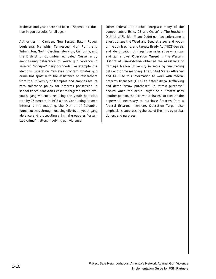of the second year, there had been a 70 percent reduction in gun assaults for all ages.

Authorities in Camden, New Jersey; Baton Rouge, Louisiana; Memphis, Tennessee; High Point and Wilmington, North Carolina; Stockton, California; and the District of Columbia replicated Ceasefire by emphasizing deterrence of youth gun violence in selected "hot-spot" neighborhoods. For example, the Memphis Operation Ceasefire program locates gun crime hot spots with the assistance of researchers from the University of Memphis and emphasizes its zero tolerance policy for firearms possession in school zones. Stockton Ceasefire targeted street-level youth gang violence, reducing the youth homicide rate by 75 percent in 1998 alone. Conducting its own internal crime mapping, the District of Columbia found success through focusing efforts on youth gang violence and prosecuting criminal groups as "organized crime" matters involving gun violence.

Other federal approaches integrate many of the components of Exile, ICE, and Ceasefire. The Southern District of Florida (Miami-Dade) gun law enforcement effort utilizes the Weed and Seed strategy and youth crime gun tracing, and targets Brady Act/NICS denials and identification of illegal gun sales at pawn shops and gun shows. **Operation Target** in the Western District of Pennsylvania obtained the assistance of Carnegie Mellon University in securing gun tracing data and crime mapping. The United States Attorney and ATF use this information to work with federal firearms licensees (FFLs) to detect illegal trafficking and deter "straw purchases" (a "straw purchase" occurs when the actual buyer of a firearm uses another person, the "straw purchaser," to execute the paperwork necessary to purchase firearms from a federal firearms licensee). Operation Target also emphasizes suppressing the use of firearms by probationers and parolees.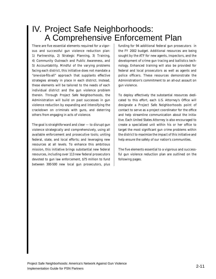### IV. Project Safe Neighborhoods: A Comprehensive Enforcement Plan

There are five essential elements required for a vigorous and successful gun violence reduction plan: 1) Partnership, 2) Strategic Planning, 3) Training, 4) Community Outreach and Public Awareness, and 5) Accountability. Mindful of the varying problems facing each district, this initiative does not mandate a "one-size-fits-all" approach that supplants effective strategies already in place in each district. Instead, these elements will be tailored to the needs of each individual district and the gun violence problem therein. Through Project Safe Neighborhoods, the Administration will build on past successes in gun violence reduction by expanding and intensifying the crackdown on criminals with guns, and deterring others from engaging in acts of violence.

The goal is straightforward and clear — to disrupt gun violence strategically and comprehensively, using all available enforcement and prosecutive tools; uniting federal, state, and local efforts; and leveraging new resources at all levels. To enhance this ambitious mission, this initiative brings substantial new federal resources, including over 113 new federal prosecutors devoted to gun law enforcement, \$75 million to fund between 300-500 new local gun prosecutors, plus funding for 94 additional federal gun prosecutors in the FY 2002 budget. Additional resources are being sought by the ATF for new agents, inspectors, and the development of crime gun tracing and ballistics technology. Enhanced training will also be provided for federal and local prosecutors as well as agents and police officers. These resources demonstrate the Administration's commitment to an all-out assault on gun violence.

To deploy effectively the substantial resources dedicated to this effort, each U.S. Attorney's Office will designate a Project Safe Neighborhoods point of contact to serve as a project coordinator for the office and help streamline communication about the initiative. Each United States Attorney is also encouraged to create a specialized unit within his or her office to target the most significant gun crime problems within the district to maximize the impact of this initiative and help ensure the safety of our nation's communities.

The five elements essential to a vigorous and successful gun violence reduction plan are outlined on the following pages.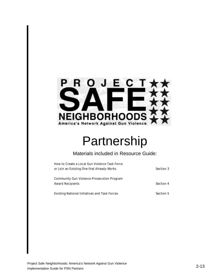

### Partnership

Materials included in Resource Guide:

| How to Create a Local Gun Violence Task Force<br>or Join an Existing One that Already Works | Section 3        |
|---------------------------------------------------------------------------------------------|------------------|
| <b>Community Gun Violence Prosecution Program</b><br><b>Award Recipients</b>                | <b>Section 4</b> |
| <b>Existing National Initiatives and Task Forces</b>                                        | <b>Section 5</b> |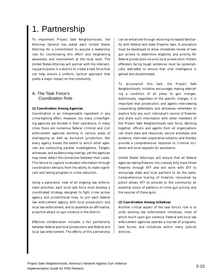### 1. Partnership

To implement Project Safe Neighborhoods, the Attorney General has asked each United States Attorney for a commitment to assume a leadership role for coordinating this effort and heightening awareness and involvement at the local level. The United States Attorney will partner with the intersecting participants in a district to create a task force that can help ensure a uniform, tactical approach that yields a major impact on the community.

### A. The Task Force's Coordination Role

### **(1) Coordination Among Agencies**

Coordination is an indispensable ingredient in any crime-fighting effort. However, too many crime-fighting agencies are divided in their operations. In many cities there are numerous federal criminal and civil enforcement agencies working in various areas of overlapping as well as exclusive jurisdiction. Not every agency knows the extent to which other agencies are conducting parallel investigations. Targets, witnesses, and evidence may overlap, yet the agencies may never detect the connection between their cases. This failure to capture invaluable information through coordination detracts from the ability to make significant and lasting progress in crime reduction.

Using a panoramic view of all ongoing law enforcement activities, each local task force must develop a coordinated strategy designed to fight crime across agency and jurisdictional lines, to join each federal law enforcement agency with local prosecutors and local law enforcement, and to assemble an affirmative, proactive attack on gun violence in the district.

Effective collaboration includes a full partnership between federal and local prosecutors and federal and local law enforcement. The efforts of this partnership can be enhanced through receiving increased familiarity with federal and state firearms laws. A procedure must be developed to allow immediate review of new gun arrests to determine eligibility and priority for federal prosecution vis-a-vis local prosecution. Violent offenders facing tough sentences must be systematically debriefed to ensure that vital intelligence is gained and disseminated.

To accomplish this task, the Project Safe Neighborhoods initiative encourages making debriefing a condition of all pleas to gun charges. Additionally, regardless of the specific charges, it is important that prosecutors and agents interviewing cooperating defendants and witnesses remember to explore fully any such individual's source of firearms and share such information with other members of the Project Safe Neighborhoods task force. Working together, officers and agents from all organizations can share data and resources, secure witnesses and evidence, interview cooperative subjects, and thereby provide a comprehensive response to criminal incidents and local requests for assistance.

United States Attorneys will ensure that all federal agencies taking firearms into custody fully trace those firearms through ATF and will work with ATF to encourage state and local partners to do the same. Comprehensive tracing of firearms recovered by police allows ATF to provide to the community an essential vision of patterns of crime gun activity and the sources of those guns.

### **(2) Coordination Among Initiatives**

Another critical aspect of the task force's role is to unify existing law enforcement initiatives, most of which touch upon gun violence. Federal and local law enforcement agencies operate a myriad of programs, task forces, and initiatives within many judicial districts.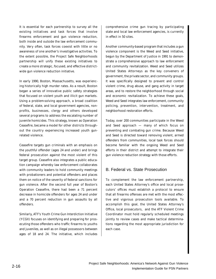It is essential for each partnership to survey all the existing initiatives and task forces that involve firearms enforcement and gun violence reduction, both inside and outside the law enforcement community. Very often, task forces coexist with little or no awareness of one another's investigative activities. To the extent possible, the Project Safe Neighborhoods partnership will unify these existing initiatives to create a more strategic, focused, and effective districtwide gun violence reduction initiative.

In early 1990, Boston, Massachusetts, was experiencing historically high murder rates. As a result, Boston began a series of innovative public safety strategies that focused on violent youth and illicit gun markets. Using a problem-solving approach, a broad coalition of federal, state, and local government agencies, nonprofits, businesses, clergy and others developed several programs to address the escalating number of juvenile homicides. This strategy, known as Operation Ceasefire, became a model for other districts throughout the country experiencing increased youth gunrelated violence.

Ceasefire targets gun criminals with an emphasis on the youthful offender (ages 24 and under) and brings federal prosecution against the most violent of this target group. Ceasefire also integrates a public education campaign whereby law enforcement collaborates with community leaders to hold community meetings with probationers and potential offenders and places them on notice of the severity of federal sanctions for gun violence. After the second full year of Boston's Operation Ceasefire, there had been a 71 percent decrease in homicide offenders for ages 24 and under and a 70 percent reduction in gun assaults by all offenders.

Similarly, ATF's Youth Crime Gun Interdiction Initiative (YCGII) focuses on identifying and preparing for prosecuting those offenders who traffic firearms to youths and juveniles, as well as on illegal possessors between ages of 18 and 24. The initiative, which includes comprehensive crime gun tracing by participating state and local law enforcement agencies, is currently in effect in 50 sites.

Another community-based program that includes a gun violence component is the Weed and Seed initiative, begun by the Department of Justice in 1991 to demonstrate a comprehensive approach to law enforcement and community revitalization. Weed and Seed utilizes United States Attorneys as the key conveners of government, the private sector, and community groups. It was specifically designed to prevent and control violent crime, drug abuse, and gang activity in target areas, and to restore the neighborhood through social and economic revitalization. To achieve these goals, Weed and Seed integrates law enforcement, community policing, prevention, intervention, treatment, and neighborhood restoration efforts.

Today, over 200 communities participate in the Weed and Seed approach — many of which focus on preventing and combating gun crime. Because Weed and Seed is directed toward removing violent, armed offenders from communities, local task forces should become familiar with the ongoing Weed and Seed efforts in their district and attempt to integrate their gun violence reduction strategy with those efforts.

### B. Federal vs. State Prosecution

To complement the law enforcement partnership, each United States Attorney's office and local prosecutors' offices must establish a protocol to ensure that all firearms offenses are met with the most effective and vigorous prosecution tools available. To accomplish this goal, the United States Attorney's Office, local prosecutors, and the ATF Violent Crime Coordinator must hold regularly scheduled meetings jointly to review cases and make tactical determinations regarding the most appropriate jurisdiction for each case.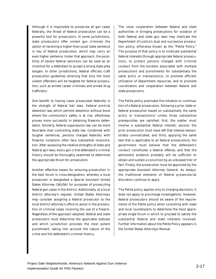Although it is impossible to prosecute all gun cases federally, the threat of federal prosecution can be a powerful tool for prosecutors. In some jurisdictions, state prosecutors offer violent gun criminals the option of receiving a higher-than-usual state sentence in lieu of federal prosecution, which may carry an even higher sentence. Under that approach, the possibility of severe federal sanctions can be used as an incentive for a defendant to accept a strong state plea bargain. In other jurisdictions, federal officials craft prosecution guidelines directing that only the most violent offenders will be targeted for federal prosecution, such as armed career criminals and armed drug traffickers.

One benefit to having cases prosecuted federally is the strength of federal bail laws. Federal pre-trial detention law, which permits detention without bond where the community's safety is at risk, oftentimes proves more successful in detaining firearms defendants. Similarly, federal suppression law can be more favorable than controlling state law. Combined with tougher sentences, persons charged federally with firearms violations often face substantial incarceration. After assessing the relative strengths of state and federal gun laws, every gun crime defendant's criminal history should be thoroughly examined to determine the appropriate forum for prosecution.

Another effective means for ensuring prosecution in the best forum is cross-designation, whereby a local prosecutor is designated a Special Assistant United States Attorney (SAUSA) for purposes of prosecuting federal gun cases in the district. Additionally, at a local district attorney's request, United States Attorneys may consider assigning a federal prosecutor to the local district attorney's office to assist in the prosecution of criminal cases involving the use of a firearm. Regardless of the approach adopted, federal and state prosecutors must determine the applicable statutes and which jurisdiction provides the most potent punishment, taking into account the nature of the crime and the defendant's criminal history.

The close cooperation between federal and state authorities in bringing prosecutions for violation of both federal and state gun laws may implicate the Department of Justice's dual and successive prosecution policy, otherwise known as the "Petite Policy." The purpose of that policy is to vindicate substantial federal interests through appropriate federal prosecutions, to protect persons charged with criminal conduct from the burdens associated with multiple prosecutions and punishments for substantially the same  $act(s)$  or transaction(s), to promote efficient utilization of Department resources, and to promote coordination and cooperation between federal and state prosecutors.

The Petite policy precludes the initiation or continuation of a federal prosecution, following a prior state or federal prosecution based on substantially the same act(s) or transaction(s) unless three substantive prerequisites are satisfied: first, the matter must involve a substantial federal interest; second, the prior prosecution must have left that interest demonstrably unvindicated; and third, applying the same test that is applicable to all federal prosecutions, the government must believe that the defendant's conduct constitutes a federal offense, and that the admissible evidence probably will be sufficient to obtain and sustain a conviction by an unbiased trier of fact. Finally, the prosecution must be approved by the appropriate Assistant Attorney General. As always, the traditional elements of federal prosecutorial discretion continue to apply.

The Petite policy applies only to charging decisions; it does not apply to pre-charge investigations. However, federal prosecutors should be aware of the requirements of the Petite policy when consulting with state and local counterparts to determine the most appropriate single forum in which to proceed to satisfy the substantial federal and state interests involved. Further information about the Petite Policy appears in the United States Attorneys Manual.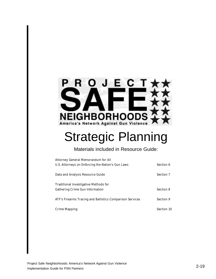

### Strategic Planning

Materials included in Resource Guide:

| <b>Attorney General Memorandum for All</b>                |                   |
|-----------------------------------------------------------|-------------------|
| U.S. Attorneys on Enforcing the Nation's Gun Laws         | Section 6         |
| Data and Analysis Resource Guide                          | <b>Section 7</b>  |
| <b>Traditional Investigative Methods for</b>              |                   |
| <b>Gathering Crime Gun Information</b>                    | Section 8         |
| ATF's Firearms Tracing and Ballistics Comparison Services | Section 9         |
| <b>Crime Mapping</b>                                      | <b>Section 10</b> |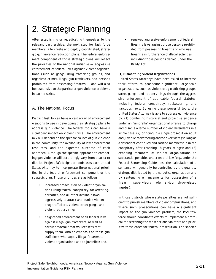### 2. Strategic Planning

After establishing or rededicating themselves to the relevant partnerships, the next step for task force members is to create and deploy coordinated, strategic gun violence reduction plans. The federal enforcement component of those strategic plans will reflect the priorities of the national initiative  $-$  aggressive enforcement of federal laws against violent organizations (such as gangs, drug trafficking groups, and organized crime), illegal gun traffickers, and persons prohibited from possessing firearms — and will also be responsive to the particular gun violence problems in each district.

### A. The National Focus

District task forces have a vast array of enforcement weapons to use in developing their strategic plans to address gun violence. The federal tools can have a significant impact on violent crime. The enforcement mix will depend on the specific causes of gun violence in the community, the availability of law enforcement resources, and the expected outcome of each approach. Although the specific approach to combating gun violence will accordingly vary from district to district, Project Safe Neighborhoods asks each United States Attorney to incorporate three national priorities in the federal enforcement component or the strategic plan. Those priorities are as follows:

- increased prosecution of violent organizations using federal conspiracy, racketeering, narcotics, and all other available laws aggressively to attack and punish violent drug traffickers, violent street gangs, and violent robbery rings;
- heightened enforcement of all federal laws against illegal gun traffickers, as well as corrupt federal firearms licensees that supply them, with an emphasis on those gun traffickers who supply illegal firearms to violent organizations and to juveniles; and,

• renewed aggressive enforcement of federal firearms laws against those persons prohibited from possessing firearms or who use firearms in furtherance of illegal activities, including those persons denied under the Brady Act.

### **(1) Dismantling Violent Organizations**

United States Attorneys have been asked to increase their efforts to prosecute significant, large-scale organizations, such as violent drug trafficking groups, street gangs, and robbery rings through the aggressive enforcement of applicable federal statutes, including federal conspiracy, racketeering, and narcotics laws. By using these powerful tools, the United States Attorney is able to address gun violence by: (1) combining historical and proactive evidence under an "umbrella" organizational offense to charge and disable a large number of violent defendants in a single case; (2) bringing in a single prosecution adult and juvenile racketeering and/or overt acts (so long as a defendant continued and ratified membership in the conspiracy after reaching 18 years of age); and (3) exposing members of violent organizations to substantial penalties under federal law (e.g., under the Federal Sentencing Guidelines, the calculation of a sentence will generally be controlled by the quantity of drugs distributed by the narcotics organization and by sentencing enhancements for possession of a firearm, supervisory role, and/or drug-related murder).

In those districts where state penalties are not sufficient to punish members of violent organizations, and where such prosecutions can have a significant impact on the gun violence problem, the PSN task force should coordinate efforts to implement a protocol for screening the most serious violators and prioritize these cases for federal prosecution. The specific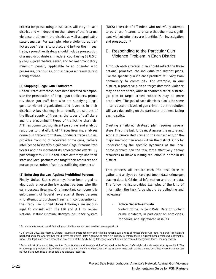criteria for prosecuting these cases will vary in each district and will depend on the nature of the firearms violence problem in the district as well as applicable state penalties. For example, where violent drug traffickers use firearms to protect and further their illegal trade, a proactive strategy should include prosecution of armed drug dealers in federal court using 18 U.S.C. § 924(c), given the five, seven, and ten-year mandatory minimum penalty applicable to an offender who possesses, brandishes, or discharges a firearm during a drug offense.

### **(2) Stopping Illegal Gun Traffickers**

United States Attorneys have been directed to emphasize the prosecution of illegal gun traffickers, primarily those gun traffickers who are supplying illegal guns to violent organizations and juveniles in their districts. A key challenge is to identify the sources of the illegal supply of firearms, the types of traffickers and the predominant types of trafficking channels. ATF has committed significant personnel and analytic resources to that effort. ATF traces firearms, analyzes crime gun trace information, conducts trace studies, provides mapping of recovered crime guns, gathers intelligence to identify significant illegal firearms traffickers and has increased its enforcement efforts. By partnering with ATF, United States Attorneys and their state and local partners can target their resources and pursue prosecution of serious trafficking offenders.<sup>1</sup>

#### **(3) Enforcing the Law Against Prohibited Persons**

Finally, United States Attorneys have been urged to vigorously enforce the law against persons who illegally possess firearms. One important component is enforcement of federal laws against those persons who attempt to purchase firearms in contravention of the Brady Law. United States Attorneys are encouraged to consult with the FBI and ATF to review National Instant Criminal Background Check System

(NICS) referrals of offenders who unlawfully attempt to purchase firearms to ensure that the most significant violent offenders are identified for investigation and prosecution.<sup>2</sup>

### B. Responding to the Particular Gun Violence Problem in Each District

Although each strategic plan should reflect the three national priorities, the individualized district plans, like the specific gun violence problem, will vary from community to community. For example, in one district, a proactive plan to target domestic violence may be appropriate, while in another district, a strategic plan to target armed robberies may be more productive. The goal of each district's plan is the same — to reduce the levels of gun crime – but the solution will vary depending on the particular problems facing each district.

Creating a tailored strategic plan requires several steps. First, the task force must assess the nature and scope of gun-related crime in the district and/or the major metropolitan areas within the district. Only by understanding the specific dynamics of the local crime problem can the task force effectively deploy resources to make a lasting reduction in crime in its district.

That process will require each PSN task force to gather and analyze police department data, crime gun tracing data, NICS denial information and other data. The following list provides examples of the kind of information the task force should be collecting and reviewing:<sup>3</sup>

### • **Police Department data**

*Violent Crime Incident Data.* Data on violent crime incidents, in particular on homicides, robberies, and aggravated assaults.

*<sup>1</sup> For more information on ATF's tracing and ballistic comparison services, see Appendix 9.*

*<sup>2</sup> On June 28, 2001, the Attorney General issued a memorandum on enforcing the nation's gun laws to all United States Attorneys. As part of Project Safe Neighborhoods, the Attorney General directed the United States Attorneys to make it a priority to enforce the law against those persons who attempt to subvert the legitimate crime prevention objectives of the Brady Act by falsifying information on the required background forms. See Appendix 6.*

*<sup>3</sup> For a full list of relevant data, see the "Data Analysis and Resource Guide" included in the Project Safe neighborhoods material at Appendix 7. The resource guide provides a list of data that will be most helpful to district task forces as they create their strategic plans, describes where that data can be found, and furnishes a list of data and analysis resources.*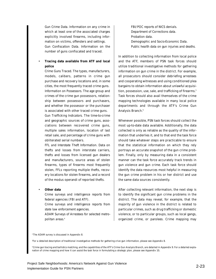*Gun Crime Data*. Information on any crime in which at least one of the associated charges explicitly involved firearms, including information on victims, offenders and settings. *Gun Confiscation Data.* Information on the number of guns confiscated and traced.

### • **Tracing data available from ATF and local police**

*Crime Guns Traced.* The types, manufacturers, models, calibers, patterns in crime gun purchase and recovery locations and, in some cities, the most frequently traced crime guns. *Information on Possessors.* The age group and crimes of the crime gun possessors, relationship between possessors and purchasers, and whether the possessor or the purchaser is associated with other traced crime guns. *Gun Trafficking Indicators.* The time-to-crime

and geographic sources of crime guns, associations between recovered crime guns, multiple sales information, location of last retail sale, and percentage of crime guns with obliterated serial numbers.

*FFL and Interstate Theft Information.* Data on thefts and losses from interstate carriers, thefts and losses from licensed gun dealers and manufacturers, source areas of stolen firearms, types of firearms most frequently stolen, FFLs reporting multiple thefts, recovery locations for stolen firearms, and a record of the modus operandi of reported thefts.

#### • **Other data**

*Crime surveys and intelligence reports from federal agencies (FBI and ATF). Crime surveys and intelligence reports from state law enforcement agencies. ADAM Surveys of Arrestees for selected metro-*

*politan areas.4*

*FBI/POC reports of NICS denials. Department of Corrections data. Probation data. Demographic and Socio-Economic Data. Public health data on gun injuries and deaths.*

In addition to collecting information from local police and the ATF, members of PSN task forces should utilize traditional investigative methods for gathering information on gun crime in the district. For example, all prosecutors should consider debriefing arrestees and cooperating witnesses and using conditioned plea bargains to obtain information about unlawful acquisition, possession, use, sale, and trafficking of firearms.<sup>5</sup> Task forces should also avail themselves of the crime mapping technologies available in many local police departments and through the ATF's Crime Gun Analysis Branch.<sup>6</sup>

Whenever possible, PSN task forces should collect the most up-to-date data available. Additionally, the data collected is only as reliable as the quality of the information that underlies it, and to that end the task force should take whatever steps are practicable to ensure that the statistical information on which they rely portrays an accurate snapshot of the gun crime problem. Finally, only by measuring data in a consistent manner can the task force accurately track trends in gun violence and gun crime. Each task force should identify the data resources most helpful in measuring the gun crime problem in his or her district and use the same data sources consistently.

After collecting relevant information, the next step is to identify the significant gun crime problems in the district. The data may reveal, for example, that the majority of gun violence in the district is related to particular crimes, such as drug trafficking or domestic violence, or to particular groups, such as local gangs, organized crime, or parolees. Crime mapping may

*4 The ADAM survey is discussed in Appendix 8.*

*5 For a detailed description of traditional investigative methods for gathering crive gun information, please see Appendix 8.*

*6 Crime gun tracing and ballistics matching, and the capabilities of the ATF's Crime Gun Analysis Branch, are detailed in Appendix 9. For a detailed explanation of crime mapping and how it can assist the task force in formulating a strategic plan, please see Appendix 10*.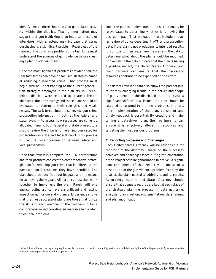identify two or three "hot spots" of gun-related activity within the district. Tracing information may suggest that gun trafficking is an important issue, or interviews with arrestees may indicate that straw purchasing is a significant problem. Regardless of the nature of the gun-crime problems, the task force must understand the sources of gun violence before creating a plan to address them.

Once the most significant problems are identified, the PSN task forces can develop focused strategies aimed at reducing gun-related crime. That process must begin with an understanding of the current prosecution strategies employed in the districts. In 1999 all federal districts were required to create a firearm violence reduction strategy and those plans should be evaluated to determine their strengths and weaknesses. The task force should also review gun crime prosecution information — both at the federal and state levels — to assess how resources are currently allocated. Finally, both federal and state prosecutors should review the criteria for referring gun cases for prosecution in state and federal court. This process will require close coordination between federal and local prosecutors.

Once that review is complete, the PSN partnerships and their partners can create a comprehensive, strategic plan for reducing gun crime that is tailored to the particular local problems they have identified. The plan should be specific about its goals and the means for achieving those goals. All partners must then work together to implement the plan. Rarely will one agency, acting alone, have a significant and lasting impact on gun crime and violence. Experience shows that the most successful plans are those that utilize the skills of each member of the partnership for a comprehensive and coordinated response to the identified local problems.

Once the plan is implemented, it must continually be re-evaluated to determine whether it is having the desired impact. That evaluation must include a regular review of police department, ATF, and prosecution data. If the plan is not producing its intended results, it is critical to then reexamine the plan and the data to determine what about the plan should be modified. Conversely, if the data indicate that the plan is having a positive impact, the United States Attorneys and their partners can ensure that the necessary resources continue to be expended on the effort.

Consistent review of data also allows the partnership to identify emerging trends in the nature and scope of gun violence in the district. If the data reveal a significant shift in local issues, the plan should be retooled to respond to the new problems. In short, after implementation of the plan, consistent and timely feedback is essential. By creating and maintaining a data-driven plan, the partnership can ensure it is effectively allocating resources and targeting the most serious problems.

#### **C. Reporting Successes and Challenges**

Each United States Attorney will be responsible for reporting to the Attorney General on the successes achieved and challenges faced during implementation of the Project Safe Neighborhoods initiative.7 A significant component of that report will consist of a description of the gun violence problem faced by the district, the plan enacted to address it, and its results. Accordingly, each United States Attorney should ensure that adequate records are kept at each stage of the strategic planning process — data gathering, analysis, plan creation, implementation, data review, and plan modification.

*<sup>7</sup> More information on the reporting requirement is contained in the Accountability section and a brief description of the Department of Justice's expectations for these reports is attached at Appendix 15.*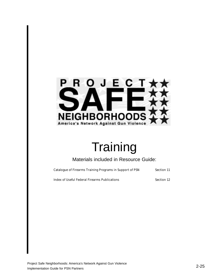

### **Training**

### Materials included in Resource Guide:

Catalogue of Firearms Training Programs in Support of PSN Section 11

Index of Useful Federal Firearms Publications Section 12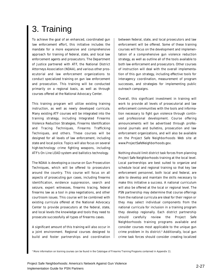### 3. Training

To achieve the goal of an enhanced, coordinated gun law enforcement effort, this initiative includes the mandate for a more expansive and comprehensive approach for training of federal, state, and local law enforcement agents and prosecutors. The Department of Justice partnered with ATF, the National District Attorneys Association (NDAA), and various other prosecutorial and law enforcement organizations to conduct specialized training on gun law enforcement and prosecution. This training will be conducted primarily on a regional basis, as well as through courses offered at the National Advocacy Center.

This training program will utilize existing training instruction, as well as newly developed curricula. Many existing ATF courses will be integrated into the training strategy, including Integrated Firearms Violence Reduction Strategies, Firearms Identification and Tracing Techniques, Firearms Trafficking Techniques, and others. These courses will be designed for all levels of law enforcement, including state and local police. Topics will also focus on several high-technology crime fighting weapons, including ATF's On Line LEAD system and ballistics technology.

The NDAA is developing a course on Gun Prosecution Techniques, which will be offered to prosecutors around the country. This course will focus on all aspects of prosecuting gun cases, including firearms identification, evidence suppression, search and seizure, expert witnesses, firearms tracing, federal firearms law as a tool in plea negotiations, and other courtroom issues. This course will be combined with existing curricula offered at the National Advocacy Center to provide prosecutors at the federal, state, and local levels the knowledge and tools they need to prosecute successfully all types of firearms cases.

A significant amount of this training will also occur in a joint environment. Regional courses designed to build and foster partnerships and coordination

between federal, state, and local prosecutors and law enforcement will be offered. Some of these training courses will focus on the development and implementation of a comprehensive gun violence reduction strategy, as well as outline all of the tools available to both law enforcement and prosecutors. Other courses of instruction will deal with the overall implementation of this gun strategy, including effective tools for interagency coordination, measurement of program successes, and strategies for implementing public outreach campaigns.

Overall, this significant investment in training will work to provide all levels of prosecutorial and law enforcement communities with the tools and information necessary to fight gun violence through continued professional development. Course offering announcements will be advertised through professional journals and bulletins, prosecution and law enforcement organizations, and will also be available on the Project Safe Neighborhoods Web site at www.ProjectSafeNeighborhoods.gov.

Nothing should limit district task forces from planning Project Safe Neighborhoods training at the local level. Local partnerships are best suited to organize and schedule local and regional training so that key law enforcement personnel, both local and federal, are able to develop and maintain the skills necessary to make this initiative a success. A national curriculum will also be offered at the local or regional level. The PSN partnership may determine that course offerings from the national curricula are ideal for their region or they may select individual components from the national curricula for inclusion in a training program they develop regionally. Each district partnership should carefully review the Project Safe Neighborhoods training programs available and consider courses most applicable to the unique gun crime problem in its district.<sup>8</sup> Additionally, local gun crime task forces should consider creating localized

*<sup>8</sup> More information on training courses can be found in the Catalogue of Firearms Training Programs contained in Appendix 11.*

Project Safe Neighborhoods: America's Network Against Gun Violence Implementation Guide for PSN Partners 2000 and Collection Controllers 2000 and Collection Collection Cuide for PSN Partners 2000 and Collection Cuide for PSN Partners 2000 and Collection Cuide for PSN Partners 2000 and Col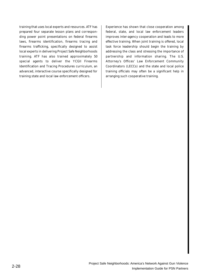training that uses local experts and resources. ATF has prepared four separate lesson plans and corresponding power point presentations on federal firearms laws, firearms identification, firearms tracing and firearms trafficking, specifically designed to assist local experts in delivering Project Safe Neighborhoods training. ATF has also trained approximately 50 special agents to deliver the YCGII Firearms Identification and Tracing Procedures curriculum, an advanced, interactive course specifically designed for training state and local law enforcement officers.

Experience has shown that close cooperation among federal, state, and local law enforcement leaders improves inter-agency cooperation and leads to more effective training. When joint training is offered, local task force leadership should begin the training by addressing the class and stressing the importance of partnership and information sharing. The U.S. Attorney's Offices' Law Enforcement Community Coordinators (LECCs) and the state and local police training officials may often be a significant help in arranging such cooperative training.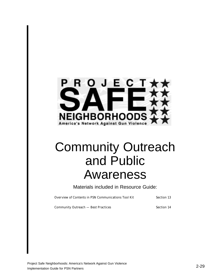

### Community Outreach and Public Awareness

Materials included in Resource Guide:

Overview of Contents in PSN Communications Tool Kit Section 13

Community Outreach — Best Practices Section 14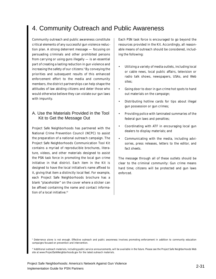### 4. Community Outreach and Public Awareness

Community outreach and public awareness constitute critical elements of any successful gun violence reduction plan. A strong deterrent message — focusing on persuading criminals and other prohibited persons from carrying or using guns illegally — is an essential part of creating a lasting reduction in gun violence and increasing the safety of our citizens.<sup>9</sup> By conveying the priorities and subsequent results of this enhanced enforcement effort to the media and community members, the district partnerships can help shape the attitudes of law abiding citizens and deter those who would otherwise believe they can violate our gun laws with impunity.

### A. Use the Materials Provided in the Tool Kit to Get the Message Out

Project Safe Neighborhoods has partnered with the National Crime Prevention Council (NCPC) to assist the preparation of a national outreach campaign. The Project Safe Neighborhoods Communication Tool Kit contains a myriad of reproducible brochures, literature, videos, and other materials designed to assist the PSN task force in promoting the local gun crime initiative in that district. Each item in the Kit is designed to have the local initiative's name affixed to it, giving that item a distinctly local feel. For example, each Project Safe Neighborhoods brochure has a blank "placeholder" on the cover where a sticker can be affixed containing the name and contact information of a local initiative.<sup>10</sup>

Each PSN task force is encouraged to go beyond the resources provided in the Kit. Accordingly, all reasonable means of outreach should be considered, including the following:

- Utilizing a variety of media outlets, including local or cable news, local public affairs, television or radio talk shows, newspapers, USAs, and Web sites;
- Going door to door in gun crime hot spots to hand out materials on the campaign;
- Distributing hotline cards for tips about illegal gun possession or gun crimes;
- Providing police with laminated summaries of the federal gun laws and penalties;
- Coordinating with ATF in encouraging local gun dealers to display materials; and
- Communicating with the media, including advisories, press releases, letters to the editor, and fact sheets.

The message through all of these outlets should be clear to the criminal community: Gun crime means hard time; citizens will be protected and gun laws enforced.

*<sup>9</sup> Deterrence alone is not enough. Effective outreach and public awareness involves promoting enforcement in addition to community education campaigns focused on prevention and intervention.*

*<sup>10</sup> Additional outreach materials, including public service announcements, will be available in the future. Please see the Project Safe Neighborhoods Web site at www.ProjectSafeNeighborhoods.gov for the latest outreach materials.*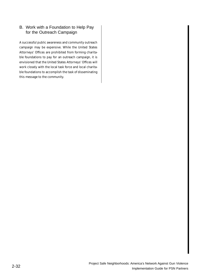### B. Work with a Foundation to Help Pay for the Outreach Campaign

A successful public awareness and community outreach campaign may be expensive. While the United States Attorneys' Offices are prohibited from forming charitable foundations to pay for an outreach campaign, it is envisioned that the United States Attorneys' Offices will work closely with the local task force and local charitable foundations to accomplish the task of disseminating this message to the community.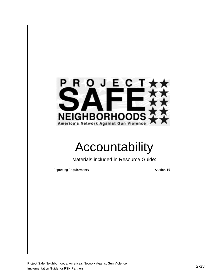

### Accountability

Materials included in Resource Guide:

Reporting Requirements Section 15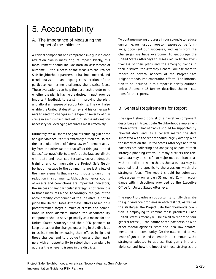### 5. Accountability

### A. The Importance of Measuring the Impact of the Initiative

A critical component of a comprehensive gun violence reduction plan is measuring its impact. Ideally, this measurement should include both an assessment of outcome — the success of the measures the Project Safe Neighborhood partnership has implemented, and trend analysis — an ongoing consideration of the particular gun crime challenges the district faces. These evaluations can help the partnership determine whether the plan is having the desired impact, provide important feedback to assist in improving the plan, and afford a measure of accountability. They will also enable the United States Attorney and his or her partners to react to changes in the type or severity of gun crime in each district, and will furnish the information necessary for leveraging resources most effectively.

Ultimately, we all share the goal of reducing gun crime and gun violence. Yet it is extremely difficult to isolate the particular effects of federal law enforcement activity from the other factors that affect this goal. United States Attorneys' efforts to enforce the law, coordinate with state and local counterparts, ensure adequate training, and communicate the Project Safe Neighborhood message to the community are just a few of the many elements that may contribute to gun crime reduction in a community. Although numerical counts of arrests and convictions are important indicators, the success of any particular strategy is not reducible to those measures alone. Accordingly, the goal of the accountability component of the initiative is not to judge the United States Attorneys' efforts based on a predetermined target number of arrests and convictions in their districts. Rather, the accountability component should serve primarily as a means for the United States Attorneys and their PSN partners to keep abreast of the changes occurring in the districts, to assist them in evaluating their efforts in light of those changes, and to provide them and their partners with an opportunity to retool their gun plans to address the emerging issues in the districts.

To continue making progress in our struggle to reduce gun crime, we must do more to measure our performance, document our successes, and learn from the challenges we have overcome. To encourage the United States Attorneys to assess regularly the effectiveness of their plans and the emerging trends in their districts, the Attorney General will ask them to report on several aspects of the Project Safe Neighborhoods implementation efforts. The information to be included in this report is briefly outlined below. Appendix 15 further describes the expectations for the reports.

### B. General Requirements for Report

The report should consist of a narrative component describing all Project Safe Neighborhoods implementation efforts. That narrative should be supported by relevant data, and, as a general matter, the data submitted with the report should largely overlap with the information the United States Attorneys and their partners are collecting and analyzing as part of their strategic planning efforts. In many districts the relevant data may be specific to major metropolitan areas within the district; when that is the case, data may be supplied that is specific to the areas on which the strategies focus. The report should be submitted twice a year — on January 31 and July 31 — in accordance with instructions provided by the Executive Office for United States Attorneys.

The report provides an opportunity to fully describe the gun violence problems in each district, as well as the strategies the Project Safe Neighborhoods coalition is employing to combat those problems. Each United States Attorney will be asked to report on four general areas: (1) the nature of the partnerships with other federal agencies, state and local law enforcement, and the community; (2) the nature and prevalence of gun crime and violence in the community, the strategies adopted to address that gun crime and violence, and how the impact of those strategies are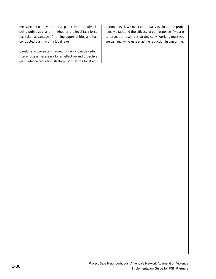measured; (3) how the local gun crime initiative is being publicized; and (4) whether the local task force has taken advantage of training opportunities and has conducted training on a local level.

Careful and consistent review of gun violence reduction efforts is necessary for an effective and proactive gun violence reduction strategy. Both at the local and

national level, we must continually evaluate the problems we face and the efficacy of our response if we are to target our resources strategically. Working together, we can and will create a lasting reduction in gun crime.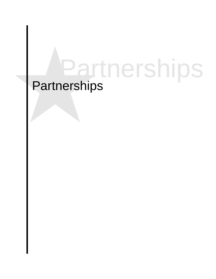# ★Partnerships Partnerships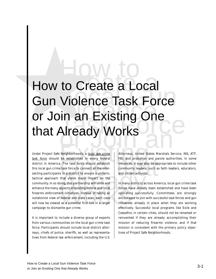## How to Create a Local Gun Violence Task Force or John and Existing One or John and Existing One that Already Works<br>
that Already Works<br>
the Neutron State and the set of the set of the set of the set of the set of the set o How to Create a Local Gun Violence Task Force or Join an Existing One that Already Works

Under Project Safe Neighborhoods, a *local gun crime task force* should be established in every federal district in America. The task force should establish this local gun crime task force to connect all the intersecting participants in a district to ensure a uniform, tactical approach that yields major impact on the community. In so doing, this partnership will unite and enhance the many aspects of existing federal and local firearms enforcement initiatives. Instead of taking an isolationist view of federal and state cases, each case will now be viewed as a potential first link in a larger campaign to dismantle gun crime.

It is important to include a diverse group of experts from various communities on the local gun crime task force. Participants should include local district attorneys, chiefs of police, sheriffs, as well as representatives from federal law enforcement, including the U.S.

Attorneys, United States Marshals Service, INS, ATF, FBI, and probation and parole authorities. In some instances, it may also be appropriate to include other community leaders, such as faith leaders, educators, and citizen activists.

In many districts across America, local gun crime task forces have already been established and have been operating successfully. Committees are strongly encouraged to join with successful task forces and gun initiatives already in place when they are working effectively. Successful local programs like Exile and Ceasefire, in certain cities, should not be renamed or reinvented if they are already accomplishing their mission of reducing firearms violence, and if that mission is consistent with the primary policy objectives of Project Safe Neighborhoods.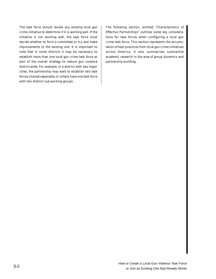The task force should review any existing local gun crime initiative to determine if it is working well. If the initiative is not working well, the task force must decide whether to form a committee or try and make improvements to the existing one. It is important to note that in some districts it may be necessary to establish more than one local gun crime task force as part of the overall strategy to reduce gun violence district-wide. For example, in a district with two major cities, the partnership may want to establish two task forces chaired separately or simply have one task force with two distinct sub-working groups.

The following section, entitled "Characteristics of Effective Partnerships" outlines some key considerations for task forces when configuring a local gun crime task force. This section represents the accumulation of best practices from local gun crime initiatives across America. It also summarizes substantial academic research in the area of group dynamics and partnership building.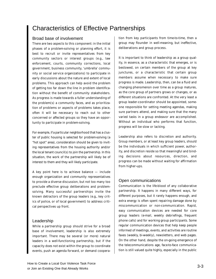### Characteristics of Effective Partnerships

### Broad base of involvement

There are two aspects to this component: in the initial phases of a problem-solving or planning effort, it is best to recruit or invite representatives from key community sectors or interest groups (e.g., law enforcement, courts, community corrections, local government, business community, 'umbrella' community or social service organizations) to participate in early discussions about the nature and extent of local problems. This approach can help avoid the problem of getting too far down the line in problem identification without the benefit of community stakeholders. As progress is made towards a fuller understanding of the problem(s) a community faces, and as prioritization of problems or aspects of problems takes place, often it will be necessary to reach out to other concerned or affected groups so they have an opportunity to participate in problem-solving.

For example, if a particular neighborhood that has a cluster of public housing is selected for problem-solving (a "hot spot" area), consideration should be given to inviting representatives from the housing authority and/or the local tenant council(s) to join the partnership. In this situation, the work of the partnership will likely be of interest to them and they will likely participate.

A key point here is to achieve balance — include enough organization and community representatives to provide a diverse discussion, but not too many too preclude effective group deliberations and problemsolving. Many successful partnerships invite the known detractors of the group leaders (e.g., key critics of police, or of local government) to address critical perspectives up front.

### Leadership

While a partnership group should strive for a broad base of involvement, leadership is also extremely important. There may be several (or more) natural leaders in a well-functioning partnership, but if the capacity does not exist within the group to coordinate events, push an agenda forward, or demand cooperation from key participants from time-to-time, then a group may flounder in well-meaning, but ineffective, deliberations and group process.

It is important to think of leadership as a group quality, in essence, as a characteristic that emerges, or is bestowed, on certain members of the group at key junctures, or a characteristic that certain group members assume when necessary to make sure progress is made. Leadership, then, can be a fluid and changing phenomenon over time as a group matures, as the core group of partners grows or changes, or as different situations are confronted. At the very least a group leader-coordinator should be appointed, someone responsible for setting meeting agendas, making sure partners attend, and making sure that the many varied tasks in a group endeavor are accomplished. Without an individual who performs that function, progress will be slow or lacking.

Leadership also refers to discretion and authority. Group members, or at least key group leaders, should be the individuals in which sufficient power, authority, and discretion reside so that meaningful and binding decisions about resources, direction, and progress can be made without waiting for affirmation from higher-ups.

### Open communications

Communication is the life-blood of any collaborative partnership. It happens in many different ways, for different purposes, but it rarely happens enough, and extra energy is often spent repairing damage done by miscommunication or non-communication. Rapid, easy communication devices are needed for core group leaders (e-mail, weekly debriefings, frequent phone calls) and for working group participants. Some regular communication devices that help keep people informed of meetings, events, and activities are routine faxes (weekly, bi-weekly), newsletters, and web pages. On the other hand, despite the on-going emergence of the telecommunications age, face-to-face communication is still valued quite highly, especially in the public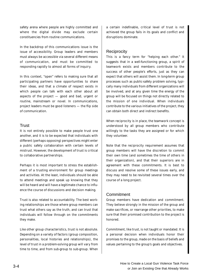safety arena where people are highly committed and where the digital divide may exclude certain constituencies from routine communications.

In the backdrop of this communications issue is the issue of accessibility. Group leaders and members must always be accessible via several different means of communication, and must be committed to responding rapidly to almost all forms of inquiry.

In this context, "open" refers to making sure that all participating partners have opportunities to share their ideas, and that a climate of respect exists in which people can talk with each other about all aspects of the project — good and bad, urgent or routine, mainstream or novel. In communications, project leaders must be good listeners — the flip side of communication.

### Trust

It is not entirely possible to make people trust one another, and it is to be expected that individuals with different (perhaps opposing) perspectives might enter a public safety collaboration with certain levels of mistrust. However, the development of trust is critical to collaborative partnerships.

Perhaps it is most important to stress the establishment of a trusting environment for group meetings and activities. At the least, individuals should be able to attend meetings and speak up knowing that they will be heard and will have a legitimate chance to influence the course of discussions and decision making.

Trust is also related to accountability. The best working relationships are those where group members can trust what others say as the truth, and can trust that individuals will follow through on the commitments they make.

Like other group characteristics, trust is not absolute. Depending on a variety of factors (group composition, personalities, local histories and relationships), the level of trust in a problem-solving group will vary from time to time, and from sub-group to sub-group. When a certain indefinable, critical level of trust is not achieved the group fails in its goals and conflict and disruptions dominate.

### **Reciprocity**

This is a fancy term for "helping each other." It suggests that in a well-functioning group, a spirit of teamwork exists and members contribute to the success of other people's efforts, just as they can expect that others will assist them. In long-term group processes such as public-safety problem solving, typically many individuals from different organizations will be involved, and at any given time the energy of the group will be focused on things not directly related to the mission of one individual. When individuals contribute to the various initiatives of the project, they can obtain both direct and indirect benefits.

When reciprocity is in place, the teamwork concept is understood by all group members who contribute willingly to the tasks they are assigned or for which they volunteer.

Note that the reciprocity requirement assumes that group members will have the discretion to commit their own time (and sometimes the time of others in their organization), and that their superiors are in agreement with these commitments. It is best to discuss and resolve some of these issues early, and they may need to be revisited several times over the course of a long project.

### **Commitment**

Group members have dedication and commitment. They believe strongly in the mission of the group and make sacrifices, or rearrange other priorities, to make sure that their promised contribution to the project is honored.

Commitment, like trust, is not taught or mandated. It is a personal decision when individuals honor their promises to the group, made on the basis of beliefs and values pertaining to the group's goals and objectives.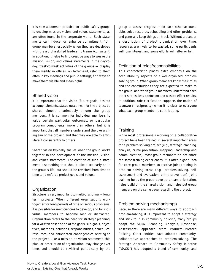It is now a common practice for public safety groups to develop mission, vision, and values statements, as are often found in the corporate world. Such statements can induce, or enhance commitment from group members, especially when they are developed with the aid of a skilled leadership trainer/consultant. In addition, it helps to find creative ways to weave the mission, vision, and values statements in the day-today, week-to-week activities of the groups — display them visibly in offices, on letterhead; refer to them often in key meetings and public settings; find ways to make them visible and meaningful.

### Shared vision

It is important that the vision (future goals, desired accomplishments, stated outcomes) for the project be shared almost unanimously among the group members. It is common for individual members to value certain particular outcomes, or particular program components, more than others, but it is important that all members understand the overarching aim of the project, and that they are able to articulate it consistently to others.

Shared vision typically ensues when the group works together in the development of the mission, vision, and values statements. The creation of such a statement is something that should take place early on in the group's life, but should be revisited from time to time to re-enforce project goals and values.

### **Organization**

Structure is very important to multi-disciplinary, longterm projects. When different organizations work together for long periods of time on serious problems, it is possible for inefficiencies to develop, and for individual members to become lost or distracted. Organization refers to the need for strategic planning, for a written description of the goals, sub-goals, objectives, methods, activities, responsibilities, schedules, resources, and anticipated contingencies relating to the project. Like a mission or vision statement, this plan, or description of organization, may change over time, and should be revisited periodically by the

group to assess progress, hold each other accountable, solve resource, scheduling and other problems, and generally keep things on track. Without a plan, or a description of project organization over time, resources are likely to be wasted, some participants will lose interest, and some efforts will falter or fail.

### Definition of roles/responsibilities

This characteristic places extra emphasis on the accountability aspects of a well-organized problem solving group. When group members know their roles and the contributions they are expected to make to the group, and when group members understand each other's roles, less confusion and wasted effort results. In addition, role clarification supports the notion of teamwork (reciprocity) when it is clear to everyone what each group member is contributing.

### Training

While most professionals working on a collaborative project have been trained in several important areas for a problem-solving project (e.g., strategic planning, analysis, crime prevention, mapping, leadership and communication), most group members do not share the same training experiences. It is often a good idea for core group members to receive joint training in problem solving areas (e.g., problem-solving, selfassessment and evaluation, crime prevention). Joint training helps the group develop a team orientation, helps build on the shared vision, and helps put group members on the same page regarding the project.

### Problem-solving mechanism(s)

Because there are many different ways to approach problem-solving, it is important to adopt a strategy and stick to it. In community policing, many groups adopt the SARA (Scanning, Analysis, Response, Assessment) approach from Problem-Oriented Policing. Other entities have adopted communitycollaborative approaches to problem-solving. The Strategic Approach to Community Safety Initiative ("SACSI") has adopted a blend of community- and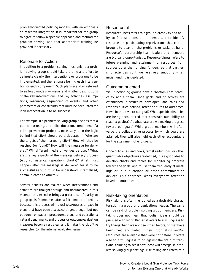problem-oriented policing models, with an emphasis on research integration. It is important for the group to agree to follow a specific approach and method for problem solving, and that appropriate training be provided if necessary.

### Rationale for Action

In addition to a problem-solving mechanism, a problem-solving group should take the time and effort to delineate clearly the interventions or programs to be implemented, and the rationale behind each intervention or each component. Such plans are often referred to as logic models — visual and written descriptions of the key interventions, and key activities, assumptions, resources, sequencing of events, and other parameters or constraints that must be accounted for if an intervention is to be successful.

For example, if a problem-solving group decides that a public marketing, or public education, component of a crime prevention project is necessary, then the logic behind that effort should be articulated — Who are the targets of the marketing effort? How will they be reached (or found)? How will the message be delivered? Will different media or venues be used? What are the key aspects of the message delivery process (e.g., consistency, repetition, clarity)? What must happen after the message is delivered for it to be successful (e.g., it must be understood, internalized, communicated to others)?

Several benefits are realized when interventions and activities are thought through and documented in this manner: this exercise brings a great deal of clarity to group goals (sometimes after a fair amount of debate, because this process will reveal weaknesses or gaps in plans that have been discussed at great length but not put down on paper), procedures, plans, and operations; natural benchmarks and process or outcome evaluation measures become very clear, and it makes the job of the researcher (or the internal evaluator) easier.

### Resourceful

Resourcefulness refers to a group's creativity and ability to find solutions to problems, and to identify resources in participating organizations that can be brought to bear on the problems or tasks at hand. Resourceful partnership team leaders and members are typically opportunistic. Resourcefulness refers to future planning and attainment of resources from sources other than original funders, so that partnership activities continue relatively smoothly when initial funding is depleted.

### Outcome oriented

Well functioning groups have a "bottom line" practicality about them. Once goals and objectives are established, a structure developed, and roles and responsibilities defined, attention turns to outcomes: How close are we to our goal? What specific obstacles are being encountered that constrain our ability to reach a goal(s)? At what rate are we making progress toward our goals? While group members will often value the collaborative process by which goals are attained, they will also hold each other accountable for the attainment of end goals.

Once outcomes, end goals, target reductions, or other quantifiable objectives are defined, it is a good idea to develop charts and tables for monitoring progress toward the goals, and to use them frequently at meetings or in publications or other communication devices. This approach keeps everyone's attention keyed on outcomes.

### Risk-taking orientation

Risk taking is often mentioned as a desirable characteristic in a group or organizational leader. The same can be said of problem-solving group members. Risk taking does not mean that foolish ideas should be pursued with vigor. Rather, it refers to a willingness to try things that have not been tried before, or that have been tried and failed if new information and/or resources are available that were not before. It refers also to a willingness to go against the grain of traditional thinking to see if new ideas will emerge. In problem-solving group settings, risk taking also refers to a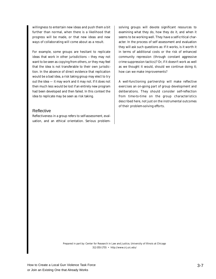willingness to entertain new ideas and push them a bit further than normal, when there is a likelihood that progress will be made, or that new ideas and new ways of collaborating will come about as a result.

For example, some groups are hesitant to replicate ideas that work in other jurisdictions -- they may not want to be seen as copying from others, or they may feel that the idea is not transferable to their own jurisdiction. In the absence of direct evidence that replication would be a bad idea, a risk taking group may elect to try out the idea — it may work and it may not. If it does not then much less would be lost if an entirely new program had been developed and then failed. In this context the idea to replicate may be seen as risk taking.

#### **Reflective**

Reflectiveness in a group refers to self-assessment, evaluation, and an ethical orientation. Serious problemsolving groups will devote significant resources to examining what they do, how they do it, and when it seems to be working well. They have a self-critical character. In the process of self assessment and evaluation they will ask such questions as: If it works, is it worth it in terms of additional costs or the risk of enhanced community repression (through constant aggressive crime suppression tactics)? Or, if it doesn't work as well as we thought it would, should we continue doing it; how can we make improvements?

A well-functioning partnership will make reflective exercises an on-going part of group development and deliberations. They should consider self-reflection from time-to-time on the group characteristics described here, not just on the instrumental outcomes of their problem-solving efforts.

*Prepared in part by:* Center for Research in Law and Justice, University of Illinois at Chicago 312-355-1755 • http://www.crj.uic.edu/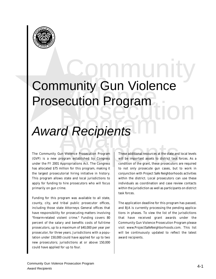

# $\begin{minipage}{0.9\textwidth} \begin{tabular}{|c|c|} \hline & \multicolumn{1}{|c|}{\textwidth} \end{tabular} \hline \multicolumn{1}{|c|}{\textwidth} \begin{tabular}{|c|c|} \hline \multicolumn{1}{|c|}{\textwidth} \end{tabular} \hline \multicolumn{1}{|c|}{\textwidth} \begin{tabular}{|c|c|} \hline \multicolumn{1}{|c|}{\textwidth} \end{tabular} \hline \multicolumn{1}{|c|}{\textwidth} \begin{tabular}{|c|c|} \hline \multicolumn{1}{|c|}{\textwidth} \end{tabular} \hline \multicolumn$ Community Gun Violence Prosecution Program

### Award Recipients

The Community Gun Violence Prosecution Program (GVP) is a new program established by Congress under the FY 2001 Appropriations Act. The Congress has allocated \$75 million for this program, making it the largest prosecutorial hiring initiative in history. This program allows state and local jurisdictions to apply for funding to hire prosecutors who will focus primarily on gun crime.

Funding for this program was available to all state, county, city, and tribal public prosecutor offices, including those state Attorneys General offices that have responsibility for prosecuting matters involving "firearm-related violent crime." Funding covers 80 percent of the salary and benefits costs of full-time prosecutors, up to a maximum of \$40,000 per year per prosecutor, for three years. Jurisdictions with a population under 150,000 could have applied for up to two new prosecutors; jurisdictions at or above 150,000 could have applied for up to four.

These additional resources at the state and local levels will be important assets to district task forces. As a condition of the grant, these prosecutors are required to not only prosecute gun cases, but to work in conjunction with Project Safe Neighborhoods activities within the district. Local prosecutors can use these individuals as coordination and case review contacts within the jurisdiction as well as participants on district task forces.

The application deadline for this program has passed, and BJA is currently processing the pending applications in phases. To view the list of the jurisdictions that have received grant awards under the Community Gun Violence Prosecution Program please visit www.ProjectSafeNeighborhoods.com. This list will be continuously updated to reflect the latest award recipients.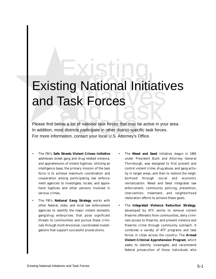## Please find below a list of national at ask forces and the active in your are find below a list of national task forces that may be active in your are find delow a list of national task forces that may be active in your ar Existing National Initiatives and Task Forces

Please find below a list of national task forces that may be active in your area. In addition, most districts participate in other district-specific task forces. For more information, contact your local U.S. Attorney's Office.

- The FBI's **Safe Streets Violent Crimes Initiative** addresses street gang and drug related violence, and apprehension of violent fugitives. Utilizing an intelligence base, the primary mission of the task force is to achieve maximum coordination and cooperation among participating law enforcement agencies to investigate, locate, and apprehend fugitives and other persons involved in serious crimes.
- The FBI's **National Gang Strategy** works with other federal, state, and local law enforcement agencies to identify the major violent domestic gang/drug enterprises that pose significant threats to communities and pursue these criminals through multi-divisional, coordinated investigations that support successful prosecutions.
- The **Weed and Seed** initiative, begun in 1991 under President Bush and Attorney General Thornburgh, was designed to first prevent and control violent crime, drug abuse, and gang activity in target areas, and then to restore the neighborhood through social and economic revitalization. Weed and Seed integrates law enforcement, community policing, prevention, intervention, treatment, and neighborhood restoration efforts to achieve these goals.
- The **Integrated Violence Reduction Strategy**, developed by ATF, works to remove violent firearms offenders from communities, deny criminals access to firearms, and prevent violence and firearms crime through community outreach. It combines a variety of ATF programs and task forces in cities across the country: The **Armed Violent Criminal Apprehension Program**, which seeks to identify, investigate, and recommend federal prosecution of those individuals who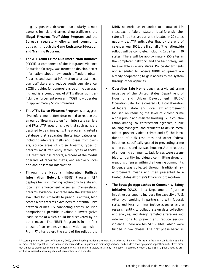illegally possess firearms, particularly armed career criminals and armed drug traffickers; the **Illegal Firearms Trafficking Program** and the Bureau's regulatory efforts; and community outreach through the **Gang Resistance Education and Training Program**.

- The ATF **Youth Crime Gun Interdiction Initiative** (YCGII), a component of the Integrated Violence Reduction Strategy, was formed to develop better information about how youth offenders obtain firearms, and use that information to arrest illegal gun traffickers and reduce youth gun violence. YCGII provides for comprehensive crime gun tracing and is a component of ATF's illegal gun trafficking enforcement program. YCGII now operates in approximately 50 communities.
- The ATF's **Stolen Firearms Program** is an aggressive enforcement effort determined to reduce the amount of firearms stolen from interstate carriers and FFLs. ATF research shows that such guns are destined to be crime guns. The program created a database that separates thefts into categories, including interstate thefts and losses from carriers, source areas of stolen firearms, types of firearms most frequently stolen, types of thefts, FFL theft and loss reports, a record of the modus operandi of reported thefts, and recovery location and possessor information.
- Through the **National Integrated Ballistic Information Network** (NIBIN) Program, ATF deploys ballistic imaging technology to state and local law enforcement agencies. Crime-related firearms evidence is entered into the system and evaluated for similarity to previous entries; high scores alert firearms examiners to potential links between crimes. By connecting crimes, ballistic comparisons provide invaluable investigative leads, some of which could be discovered by no other means. The NIBIN Program is in the first phase of an extensive nationwide expansion. From 77 sites before the start of the rollout, the

NIBIN network has expanded to a total of 124 sites, each a federal, state or local forensic laboratory. The sites are currently located in 29 states nationwide. ATF anticipates that by the end of calendar year 2001, the first half of the nationwide rollout will be complete, including 171 sites in 40 states. There will be approximately 250 sites in the completed network, and the technology will be available in every states. Police departments not scheduled to receive NIBIN equipment are already cooperating to gain access to the system through other agencies.

- **Operation Safe Home** began as a violent crime initiative of the United States Department of Housing and Urban Development (HUD).<sup>1</sup> Operation Safe Home created (1) a collaboration of federal, state, and local law enforcement focused on reducing the level of violent crime within public and assisted housing; (2) a collaboration among law enforcement agencies, public housing managers, and residents to devise methods to prevent violent crime; and (3) the introduction of HUD resources and other federal initiatives specifically geared to preventing crime within public and assisted housing. At the request of a housing community, task forces were assembled to identify individuals committing drugs or weapons offenses within the housing community. Evidence was collected through traditional law enforcement means and then presented to a United States Attorney's Office for prosecution.
- The **Strategic Approaches to Community Safety Initiative** (SACSI) is a Department of Justice initiative designed to increase the capacity of U.S. Attorneys, working in partnership with federal, state, and local criminal justice agencies and a research entity, to collaborate on data collection and analysis, and design targeted strategies and interventions to prevent and reduce serious violence. There are ten SACSI sites, which were funded in two phases. The first phase began in

*<sup>1</sup> According to a HUD report of February 2000, public housing residents are more than twice as likely to suffer from a firearm victimization as other members of the population. One in five residents reports feeling unsafe in their neighborhood, and children show symptoms of post-traumatic stress disorder similar to those seen in children exposed to war and major disasters. In a study from 1997, 70 percent of youth ages 7-18 in a public housing project had witnessed a shooting while 43 percent had seen a murder.*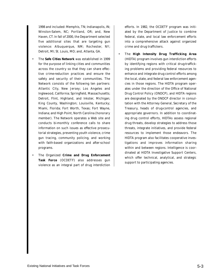1998 and included: Memphis, TN; Indianapolis, IN; Winston-Salem, NC; Portland, OR; and, New Haven, CT. In fall of 2000, the Department selected five additional sites that are targeting gun violence: Albuquerque, NM; Rochester, NY; Detroit, MI; St. Louis, MO; and, Atlanta, GA.

- The **Safe Cities Network** was established in 1999 for the purpose of linking cities and communities across the country so that they can share effective crime-reduction practices and ensure the safety and security of their communities. The Network consists of the following ten partners: Atlantic City, New Jersey; Los Angeles and Inglewood, California; Springfield, Massachusetts; Detroit, Flint, Highland, and Inkster, Michigan; King County, Washington; Louisville, Kentucky; Miami, Florida; Fort Worth, Texas; Fort Wayne, Indiana; and High Point, North Carolina (honorary member). The Network operates a Web site and conducts bi-monthly conference calls to share information on such issues as effective prosecutorial strategies, preventing youth violence, crime gun tracing, community policing, and working with faith-based organizations and after-school programs.
- The Organized **Crime and Drug Enforcement Task Force** (OCDETF) also addresses gun violence as an integral part of drug interdiction

efforts. In 1982, the OCDETF program was initiated by the Department of Justice to combine federal, state, and local law enforcement efforts into a comprehensive attack against organized crime and drug traffickers.

• The **High Intensity Drug Trafficking Area** (HIDTA) program involves gun interdiction efforts by identifying regions with critical drug-trafficking problems and providing federal resources to enhance and integrate drug control efforts among the local, state, and federal law enforcement agencies in those regions. The HIDTA program operates under the direction of the Office of National Drug Control Policy (ONDCP), and HIDTA regions are designated by the ONDCP director in consultation with the Attorney General, Secretary of the Treasury, heads of drug-control agencies, and appropriate governors. In addition to coordinating drug control efforts, HIDTAs assess regional drug threats, develop strategies to address those threats, integrate initiatives, and provide federal resources to implement those endeavors. The HIDTA program also facilitates cooperative investigations and improves information sharing within and between regions. Intelligence is coordinated at HIDTA Investigative Support Centers, which offer technical, analytical, and strategic support to participating agencies.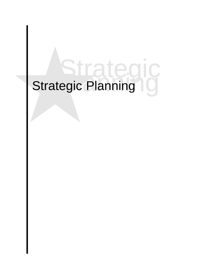# Strategic Planning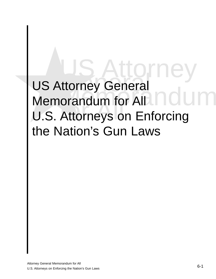## US Attorney General<br>Memorandum for All<br>U.S. Attorneys on Enforcing<br>the Nation's Gun Laws US Attorney General Memorandum for All U.S. Attorneys on Enforcing the Nation's Gun Laws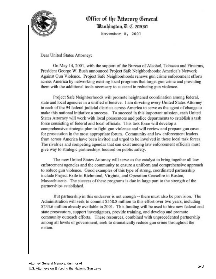

### Office of the Attorney General Washington, D. C. 20530

November 8, 2001

Dear United States Attorney:

On May 14, 2001, with the support of the Bureau of Alcohol, Tobacco and Firearms, President George W. Bush announced Project Safe Neighborhoods: America's Network Against Gun Violence. Project Safe Neighborhoods renews gun crime enforcement efforts across America by networking existing local programs that target gun crime and providing them with the additional tools necessary to succeed in reducing gun violence.

Project Safe Neighborhoods will promote heightened coordination among federal, state and local agencies in a unified offensive. I am directing every United States Attorney in each of the 94 federal judicial districts across America to serve as the agent of change to make this national initiative a success. To succeed in this important mission, each United States Attorney will work with local prosecutors and police departments to establish a task force consisting of federal and local officials. This task force will develop a comprehensive strategic plan to fight gun violence and will review and prepare gun cases for prosecution in the most appropriate forum. Community and law enforcement leaders from across America have been invited and urged to be involved in these local task forces. The rivalries and competing agendas that can exist among law enforcement officials must give way to strategic partnerships focused on public safety.

The new United States Attorney will serve as the catalyst to bring together all law enforcement agencies and the community to ensure a uniform and comprehensive approach to reduce gun violence. Good examples of this type of strong, coordinated partnership include Project Exile in Richmond, Virginia, and Operation Ceasefire in Boston, Massachusetts. The success of these programs is due in large part to the strength of the partnerships established.

But partnership in this endeavor is not enough -- there must also be provision. The Administration will seek to commit \$558.8 million to this effort over two years, including \$233.6 million already available in 2001. This funding will be used to hire new federal and state prosecutors, support investigators, provide training, and develop and promote community outreach efforts. These resources, combined with unprecedented partnership among all levels of government, seek to dramatically reduce gun crime throughout the nation.